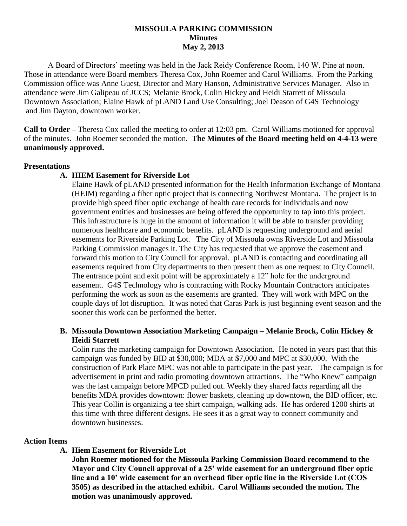## **MISSOULA PARKING COMMISSION Minutes May 2, 2013**

A Board of Directors' meeting was held in the Jack Reidy Conference Room, 140 W. Pine at noon. Those in attendance were Board members Theresa Cox, John Roemer and Carol Williams. From the Parking Commission office was Anne Guest, Director and Mary Hanson, Administrative Services Manager. Also in attendance were Jim Galipeau of JCCS; Melanie Brock, Colin Hickey and Heidi Starrett of Missoula Downtown Association; Elaine Hawk of pLAND Land Use Consulting; Joel Deason of G4S Technology and Jim Dayton, downtown worker.

**Call to Order –** Theresa Cox called the meeting to order at 12:03 pm. Carol Williams motioned for approval of the minutes. John Roemer seconded the motion. **The Minutes of the Board meeting held on 4-4-13 were unanimously approved.**

#### **Presentations**

# **A. HIEM Easement for Riverside Lot**

Elaine Hawk of pLAND presented information for the Health Information Exchange of Montana (HEIM) regarding a fiber optic project that is connecting Northwest Montana. The project is to provide high speed fiber optic exchange of health care records for individuals and now government entities and businesses are being offered the opportunity to tap into this project. This infrastructure is huge in the amount of information it will be able to transfer providing numerous healthcare and economic benefits. pLAND is requesting underground and aerial easements for Riverside Parking Lot. The City of Missoula owns Riverside Lot and Missoula Parking Commission manages it. The City has requested that we approve the easement and forward this motion to City Council for approval. pLAND is contacting and coordinating all easements required from City departments to then present them as one request to City Council. The entrance point and exit point will be approximately a 12" hole for the underground easement. G4S Technology who is contracting with Rocky Mountain Contractors anticipates performing the work as soon as the easements are granted. They will work with MPC on the couple days of lot disruption. It was noted that Caras Park is just beginning event season and the sooner this work can be performed the better.

## **B. Missoula Downtown Association Marketing Campaign – Melanie Brock, Colin Hickey & Heidi Starrett**

Colin runs the marketing campaign for Downtown Association. He noted in years past that this campaign was funded by BID at \$30,000; MDA at \$7,000 and MPC at \$30,000. With the construction of Park Place MPC was not able to participate in the past year. The campaign is for advertisement in print and radio promoting downtown attractions. The "Who Knew" campaign was the last campaign before MPCD pulled out. Weekly they shared facts regarding all the benefits MDA provides downtown: flower baskets, cleaning up downtown, the BID officer, etc. This year Collin is organizing a tee shirt campaign, walking ads. He has ordered 1200 shirts at this time with three different designs. He sees it as a great way to connect community and downtown businesses.

# **Action Items**

**A. Hiem Easement for Riverside Lot**

**John Roemer motioned for the Missoula Parking Commission Board recommend to the Mayor and City Council approval of a 25' wide easement for an underground fiber optic line and a 10' wide easement for an overhead fiber optic line in the Riverside Lot (COS 3505) as described in the attached exhibit. Carol Williams seconded the motion. The motion was unanimously approved.**